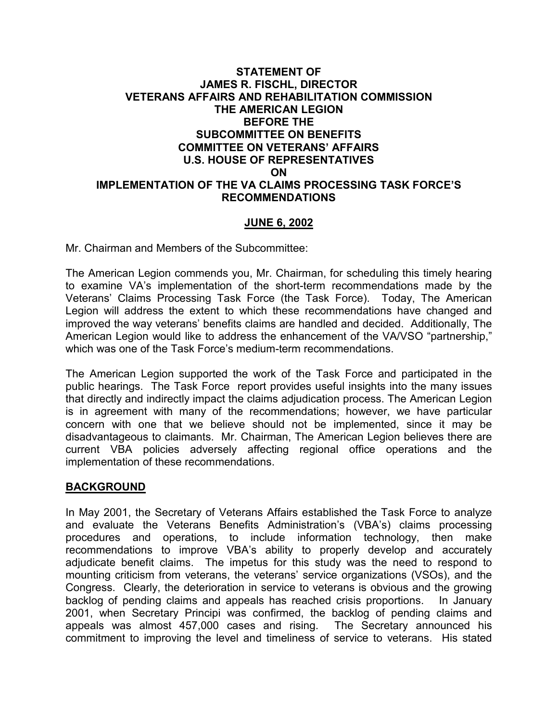# **STATEMENT OF JAMES R. FISCHL, DIRECTOR VETERANS AFFAIRS AND REHABILITATION COMMISSION THE AMERICAN LEGION BEFORE THE SUBCOMMITTEE ON BENEFITS COMMITTEE ON VETERANS' AFFAIRS U.S. HOUSE OF REPRESENTATIVES ON IMPLEMENTATION OF THE VA CLAIMS PROCESSING TASK FORCE'S RECOMMENDATIONS**

# **JUNE 6, 2002**

Mr. Chairman and Members of the Subcommittee:

The American Legion commends you, Mr. Chairman, for scheduling this timely hearing to examine VA's implementation of the short-term recommendations made by the Veterans' Claims Processing Task Force (the Task Force). Today, The American Legion will address the extent to which these recommendations have changed and improved the way veterans' benefits claims are handled and decided. Additionally, The American Legion would like to address the enhancement of the VA/VSO "partnership," which was one of the Task Force's medium-term recommendations.

The American Legion supported the work of the Task Force and participated in the public hearings. The Task Force report provides useful insights into the many issues that directly and indirectly impact the claims adjudication process. The American Legion is in agreement with many of the recommendations; however, we have particular concern with one that we believe should not be implemented, since it may be disadvantageous to claimants. Mr. Chairman, The American Legion believes there are current VBA policies adversely affecting regional office operations and the implementation of these recommendations.

# **BACKGROUND**

In May 2001, the Secretary of Veterans Affairs established the Task Force to analyze and evaluate the Veterans Benefits Administration's (VBA's) claims processing procedures and operations, to include information technology, then make recommendations to improve VBA's ability to properly develop and accurately adjudicate benefit claims. The impetus for this study was the need to respond to mounting criticism from veterans, the veterans' service organizations (VSOs), and the Congress. Clearly, the deterioration in service to veterans is obvious and the growing backlog of pending claims and appeals has reached crisis proportions. In January 2001, when Secretary Principi was confirmed, the backlog of pending claims and appeals was almost 457,000 cases and rising. The Secretary announced his commitment to improving the level and timeliness of service to veterans. His stated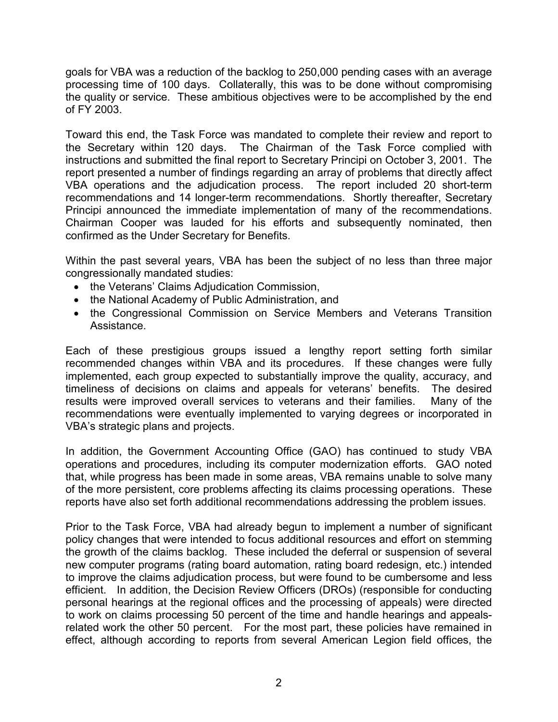goals for VBA was a reduction of the backlog to 250,000 pending cases with an average processing time of 100 days. Collaterally, this was to be done without compromising the quality or service. These ambitious objectives were to be accomplished by the end of FY 2003.

Toward this end, the Task Force was mandated to complete their review and report to the Secretary within 120 days. The Chairman of the Task Force complied with instructions and submitted the final report to Secretary Principi on October 3, 2001. The report presented a number of findings regarding an array of problems that directly affect VBA operations and the adjudication process. The report included 20 short-term recommendations and 14 longer-term recommendations. Shortly thereafter, Secretary Principi announced the immediate implementation of many of the recommendations. Chairman Cooper was lauded for his efforts and subsequently nominated, then confirmed as the Under Secretary for Benefits.

Within the past several years, VBA has been the subject of no less than three major congressionally mandated studies:

- the Veterans' Claims Adjudication Commission,
- the National Academy of Public Administration, and
- the Congressional Commission on Service Members and Veterans Transition Assistance.

Each of these prestigious groups issued a lengthy report setting forth similar recommended changes within VBA and its procedures. If these changes were fully implemented, each group expected to substantially improve the quality, accuracy, and timeliness of decisions on claims and appeals for veterans' benefits. The desired results were improved overall services to veterans and their families. Many of the recommendations were eventually implemented to varying degrees or incorporated in VBA's strategic plans and projects.

In addition, the Government Accounting Office (GAO) has continued to study VBA operations and procedures, including its computer modernization efforts. GAO noted that, while progress has been made in some areas, VBA remains unable to solve many of the more persistent, core problems affecting its claims processing operations. These reports have also set forth additional recommendations addressing the problem issues.

Prior to the Task Force, VBA had already begun to implement a number of significant policy changes that were intended to focus additional resources and effort on stemming the growth of the claims backlog. These included the deferral or suspension of several new computer programs (rating board automation, rating board redesign, etc.) intended to improve the claims adjudication process, but were found to be cumbersome and less efficient. In addition, the Decision Review Officers (DROs) (responsible for conducting personal hearings at the regional offices and the processing of appeals) were directed to work on claims processing 50 percent of the time and handle hearings and appealsrelated work the other 50 percent. For the most part, these policies have remained in effect, although according to reports from several American Legion field offices, the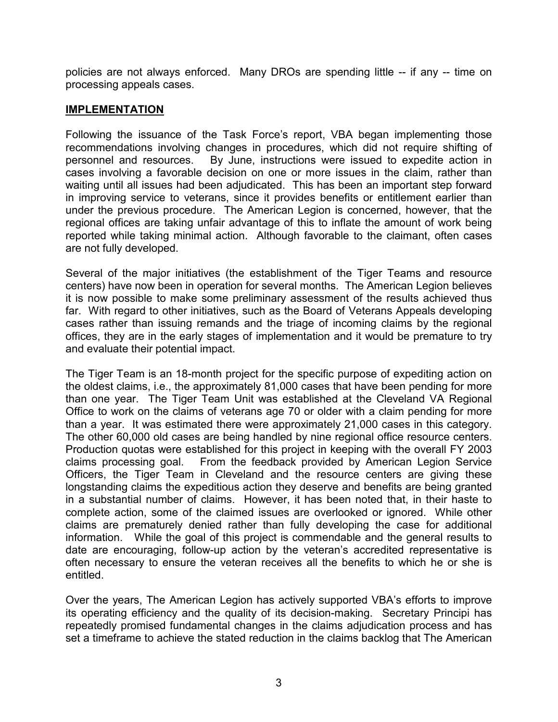policies are not always enforced. Many DROs are spending little -- if any -- time on processing appeals cases.

# **IMPLEMENTATION**

Following the issuance of the Task Force's report, VBA began implementing those recommendations involving changes in procedures, which did not require shifting of personnel and resources. By June, instructions were issued to expedite action in cases involving a favorable decision on one or more issues in the claim, rather than waiting until all issues had been adjudicated. This has been an important step forward in improving service to veterans, since it provides benefits or entitlement earlier than under the previous procedure. The American Legion is concerned, however, that the regional offices are taking unfair advantage of this to inflate the amount of work being reported while taking minimal action. Although favorable to the claimant, often cases are not fully developed.

Several of the major initiatives (the establishment of the Tiger Teams and resource centers) have now been in operation for several months. The American Legion believes it is now possible to make some preliminary assessment of the results achieved thus far. With regard to other initiatives, such as the Board of Veterans Appeals developing cases rather than issuing remands and the triage of incoming claims by the regional offices, they are in the early stages of implementation and it would be premature to try and evaluate their potential impact.

The Tiger Team is an 18-month project for the specific purpose of expediting action on the oldest claims, i.e., the approximately 81,000 cases that have been pending for more than one year. The Tiger Team Unit was established at the Cleveland VA Regional Office to work on the claims of veterans age 70 or older with a claim pending for more than a year. It was estimated there were approximately 21,000 cases in this category. The other 60,000 old cases are being handled by nine regional office resource centers. Production quotas were established for this project in keeping with the overall FY 2003 claims processing goal. From the feedback provided by American Legion Service Officers, the Tiger Team in Cleveland and the resource centers are giving these longstanding claims the expeditious action they deserve and benefits are being granted in a substantial number of claims. However, it has been noted that, in their haste to complete action, some of the claimed issues are overlooked or ignored. While other claims are prematurely denied rather than fully developing the case for additional information. While the goal of this project is commendable and the general results to date are encouraging, follow-up action by the veteran's accredited representative is often necessary to ensure the veteran receives all the benefits to which he or she is entitled.

Over the years, The American Legion has actively supported VBA's efforts to improve its operating efficiency and the quality of its decision-making. Secretary Principi has repeatedly promised fundamental changes in the claims adjudication process and has set a timeframe to achieve the stated reduction in the claims backlog that The American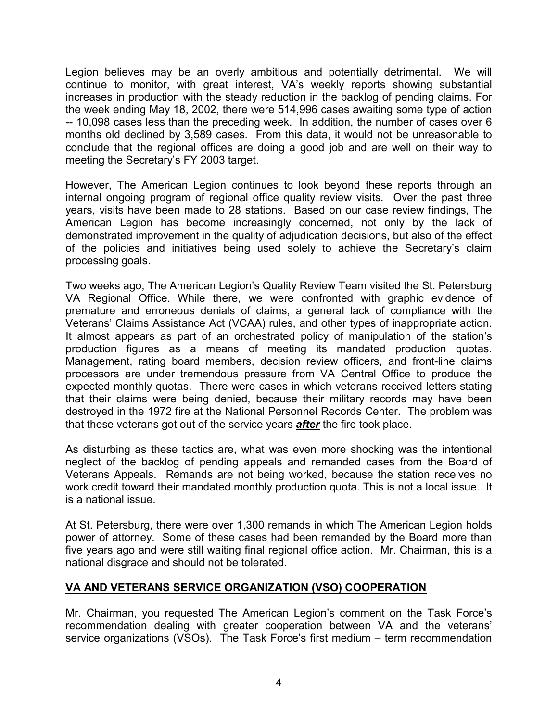Legion believes may be an overly ambitious and potentially detrimental. We will continue to monitor, with great interest, VA's weekly reports showing substantial increases in production with the steady reduction in the backlog of pending claims. For the week ending May 18, 2002, there were 514,996 cases awaiting some type of action -- 10,098 cases less than the preceding week. In addition, the number of cases over 6 months old declined by 3,589 cases. From this data, it would not be unreasonable to conclude that the regional offices are doing a good job and are well on their way to meeting the Secretary's FY 2003 target.

However, The American Legion continues to look beyond these reports through an internal ongoing program of regional office quality review visits. Over the past three years, visits have been made to 28 stations. Based on our case review findings, The American Legion has become increasingly concerned, not only by the lack of demonstrated improvement in the quality of adjudication decisions, but also of the effect of the policies and initiatives being used solely to achieve the Secretary's claim processing goals.

Two weeks ago, The American Legion's Quality Review Team visited the St. Petersburg VA Regional Office. While there, we were confronted with graphic evidence of premature and erroneous denials of claims, a general lack of compliance with the Veterans' Claims Assistance Act (VCAA) rules, and other types of inappropriate action. It almost appears as part of an orchestrated policy of manipulation of the station's production figures as a means of meeting its mandated production quotas. Management, rating board members, decision review officers, and front-line claims processors are under tremendous pressure from VA Central Office to produce the expected monthly quotas. There were cases in which veterans received letters stating that their claims were being denied, because their military records may have been destroyed in the 1972 fire at the National Personnel Records Center. The problem was that these veterans got out of the service years *after* the fire took place.

As disturbing as these tactics are, what was even more shocking was the intentional neglect of the backlog of pending appeals and remanded cases from the Board of Veterans Appeals. Remands are not being worked, because the station receives no work credit toward their mandated monthly production quota. This is not a local issue. It is a national issue.

At St. Petersburg, there were over 1,300 remands in which The American Legion holds power of attorney. Some of these cases had been remanded by the Board more than five years ago and were still waiting final regional office action. Mr. Chairman, this is a national disgrace and should not be tolerated.

# **VA AND VETERANS SERVICE ORGANIZATION (VSO) COOPERATION**

Mr. Chairman, you requested The American Legion's comment on the Task Force's recommendation dealing with greater cooperation between VA and the veterans' service organizations (VSOs). The Task Force's first medium – term recommendation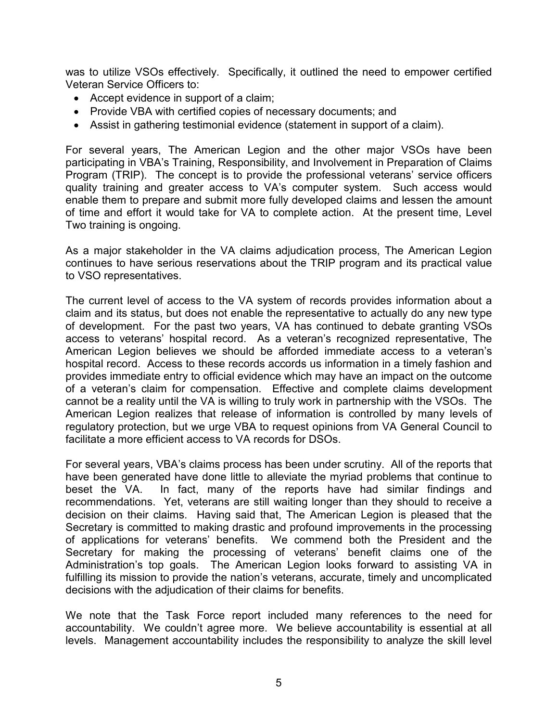was to utilize VSOs effectively. Specifically, it outlined the need to empower certified Veteran Service Officers to:

- Accept evidence in support of a claim;
- Provide VBA with certified copies of necessary documents; and
- Assist in gathering testimonial evidence (statement in support of a claim).

For several years, The American Legion and the other major VSOs have been participating in VBA's Training, Responsibility, and Involvement in Preparation of Claims Program (TRIP). The concept is to provide the professional veterans' service officers quality training and greater access to VA's computer system. Such access would enable them to prepare and submit more fully developed claims and lessen the amount of time and effort it would take for VA to complete action. At the present time, Level Two training is ongoing.

As a major stakeholder in the VA claims adjudication process, The American Legion continues to have serious reservations about the TRIP program and its practical value to VSO representatives.

The current level of access to the VA system of records provides information about a claim and its status, but does not enable the representative to actually do any new type of development. For the past two years, VA has continued to debate granting VSOs access to veterans' hospital record. As a veteran's recognized representative, The American Legion believes we should be afforded immediate access to a veteran's hospital record. Access to these records accords us information in a timely fashion and provides immediate entry to official evidence which may have an impact on the outcome of a veteran's claim for compensation. Effective and complete claims development cannot be a reality until the VA is willing to truly work in partnership with the VSOs. The American Legion realizes that release of information is controlled by many levels of regulatory protection, but we urge VBA to request opinions from VA General Council to facilitate a more efficient access to VA records for DSOs.

For several years, VBA's claims process has been under scrutiny. All of the reports that have been generated have done little to alleviate the myriad problems that continue to beset the VA. In fact, many of the reports have had similar findings and recommendations. Yet, veterans are still waiting longer than they should to receive a decision on their claims. Having said that, The American Legion is pleased that the Secretary is committed to making drastic and profound improvements in the processing of applications for veterans' benefits. We commend both the President and the Secretary for making the processing of veterans' benefit claims one of the Administration's top goals. The American Legion looks forward to assisting VA in fulfilling its mission to provide the nation's veterans, accurate, timely and uncomplicated decisions with the adjudication of their claims for benefits.

We note that the Task Force report included many references to the need for accountability. We couldn't agree more. We believe accountability is essential at all levels. Management accountability includes the responsibility to analyze the skill level